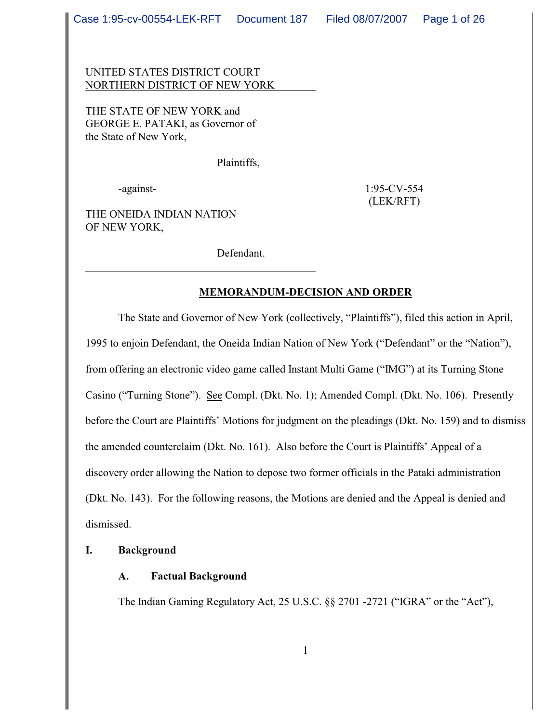UNITED STATES DISTRICT COURT NORTHERN DISTRICT OF NEW YORK

THE STATE OF NEW YORK and GEORGE E. PATAKI, as Governor of the State of New York,

Plaintiffs,

-against- 1:95-CV-554 (LEK/RFT)

THE ONEIDA INDIAN NATION OF NEW YORK,

Defendant.

### **MEMORANDUM-DECISION AND ORDER**

The State and Governor of New York (collectively, "Plaintiffs"), filed this action in April, 1995 to enjoin Defendant, the Oneida Indian Nation of New York ("Defendant" or the "Nation"), from offering an electronic video game called Instant Multi Game ("IMG") at its Turning Stone Casino ("Turning Stone"). See Compl. (Dkt. No. 1); Amended Compl. (Dkt. No. 106). Presently before the Court are Plaintiffs' Motions for judgment on the pleadings (Dkt. No. 159) and to dismiss the amended counterclaim (Dkt. No. 161). Also before the Court is Plaintiffs' Appeal of a discovery order allowing the Nation to depose two former officials in the Pataki administration (Dkt. No. 143). For the following reasons, the Motions are denied and the Appeal is denied and dismissed.

### **I. Background**

## **A. Factual Background**

The Indian Gaming Regulatory Act, 25 U.S.C. §§ 2701 -2721 ("IGRA" or the "Act"),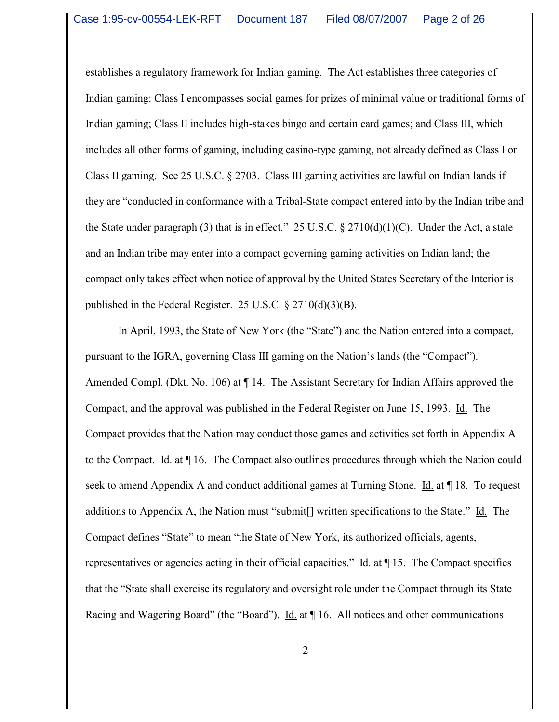establishes a regulatory framework for Indian gaming. The Act establishes three categories of Indian gaming: Class I encompasses social games for prizes of minimal value or traditional forms of Indian gaming; Class II includes high-stakes bingo and certain card games; and Class III, which includes all other forms of gaming, including casino-type gaming, not already defined as Class I or Class II gaming. See 25 U.S.C. § 2703. Class III gaming activities are lawful on Indian lands if they are "conducted in conformance with a Tribal-State compact entered into by the Indian tribe and the State under paragraph (3) that is in effect." 25 U.S.C.  $\S 2710(d)(1)(C)$ . Under the Act, a state and an Indian tribe may enter into a compact governing gaming activities on Indian land; the compact only takes effect when notice of approval by the United States Secretary of the Interior is published in the Federal Register. 25 U.S.C. § 2710(d)(3)(B).

In April, 1993, the State of New York (the "State") and the Nation entered into a compact, pursuant to the IGRA, governing Class III gaming on the Nation's lands (the "Compact"). Amended Compl. (Dkt. No. 106) at  $\P$  14. The Assistant Secretary for Indian Affairs approved the Compact, and the approval was published in the Federal Register on June 15, 1993. Id. The Compact provides that the Nation may conduct those games and activities set forth in Appendix A to the Compact. Id. at ¶ 16. The Compact also outlines procedures through which the Nation could seek to amend Appendix A and conduct additional games at Turning Stone. Id. at ¶ 18. To request additions to Appendix A, the Nation must "submit[] written specifications to the State." Id. The Compact defines "State" to mean "the State of New York, its authorized officials, agents, representatives or agencies acting in their official capacities." Id. at 15. The Compact specifies that the "State shall exercise its regulatory and oversight role under the Compact through its State Racing and Wagering Board" (the "Board"). Id. at  $\P$  16. All notices and other communications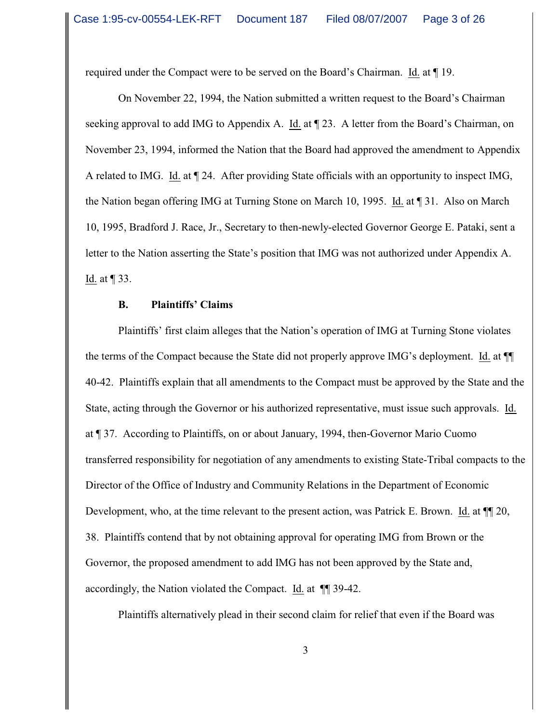required under the Compact were to be served on the Board's Chairman. Id. at ¶ 19.

On November 22, 1994, the Nation submitted a written request to the Board's Chairman seeking approval to add IMG to Appendix A. Id. at ¶ 23. A letter from the Board's Chairman, on November 23, 1994, informed the Nation that the Board had approved the amendment to Appendix A related to IMG. Id. at ¶ 24. After providing State officials with an opportunity to inspect IMG, the Nation began offering IMG at Turning Stone on March 10, 1995. Id. at ¶ 31. Also on March 10, 1995, Bradford J. Race, Jr., Secretary to then-newly-elected Governor George E. Pataki, sent a letter to the Nation asserting the State's position that IMG was not authorized under Appendix A. Id. at ¶ 33.

#### **B. Plaintiffs' Claims**

Plaintiffs' first claim alleges that the Nation's operation of IMG at Turning Stone violates the terms of the Compact because the State did not properly approve IMG's deployment. Id. at ¶¶ 40-42. Plaintiffs explain that all amendments to the Compact must be approved by the State and the State, acting through the Governor or his authorized representative, must issue such approvals. Id. at ¶ 37. According to Plaintiffs, on or about January, 1994, then-Governor Mario Cuomo transferred responsibility for negotiation of any amendments to existing State-Tribal compacts to the Director of the Office of Industry and Community Relations in the Department of Economic Development, who, at the time relevant to the present action, was Patrick E. Brown. Id. at  $\P$  20, 38. Plaintiffs contend that by not obtaining approval for operating IMG from Brown or the Governor, the proposed amendment to add IMG has not been approved by the State and, accordingly, the Nation violated the Compact. Id. at ¶¶ 39-42.

Plaintiffs alternatively plead in their second claim for relief that even if the Board was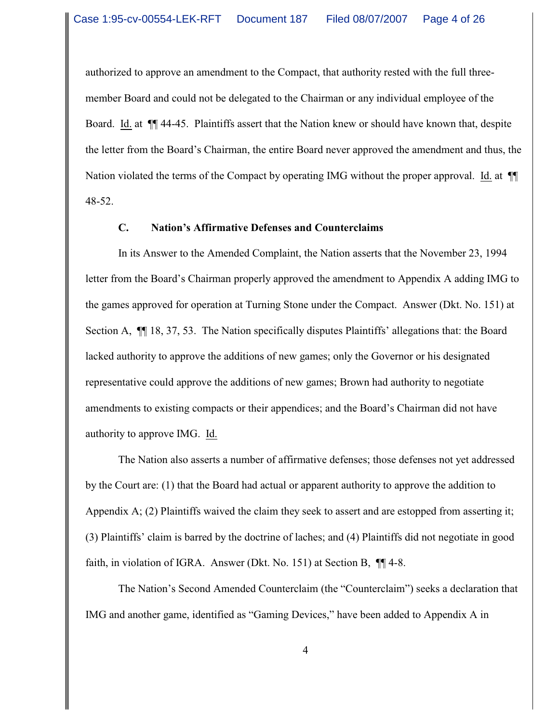authorized to approve an amendment to the Compact, that authority rested with the full threemember Board and could not be delegated to the Chairman or any individual employee of the Board. Id. at ¶¶ 44-45. Plaintiffs assert that the Nation knew or should have known that, despite the letter from the Board's Chairman, the entire Board never approved the amendment and thus, the Nation violated the terms of the Compact by operating IMG without the proper approval. Id. at ¶¶ 48-52.

### **C. Nation's Affirmative Defenses and Counterclaims**

In its Answer to the Amended Complaint, the Nation asserts that the November 23, 1994 letter from the Board's Chairman properly approved the amendment to Appendix A adding IMG to the games approved for operation at Turning Stone under the Compact. Answer (Dkt. No. 151) at Section A, ¶¶ 18, 37, 53. The Nation specifically disputes Plaintiffs' allegations that: the Board lacked authority to approve the additions of new games; only the Governor or his designated representative could approve the additions of new games; Brown had authority to negotiate amendments to existing compacts or their appendices; and the Board's Chairman did not have authority to approve IMG. Id.

The Nation also asserts a number of affirmative defenses; those defenses not yet addressed by the Court are: (1) that the Board had actual or apparent authority to approve the addition to Appendix A; (2) Plaintiffs waived the claim they seek to assert and are estopped from asserting it; (3) Plaintiffs' claim is barred by the doctrine of laches; and (4) Plaintiffs did not negotiate in good faith, in violation of IGRA. Answer (Dkt. No. 151) at Section B, ¶¶ 4-8.

The Nation's Second Amended Counterclaim (the "Counterclaim") seeks a declaration that IMG and another game, identified as "Gaming Devices," have been added to Appendix A in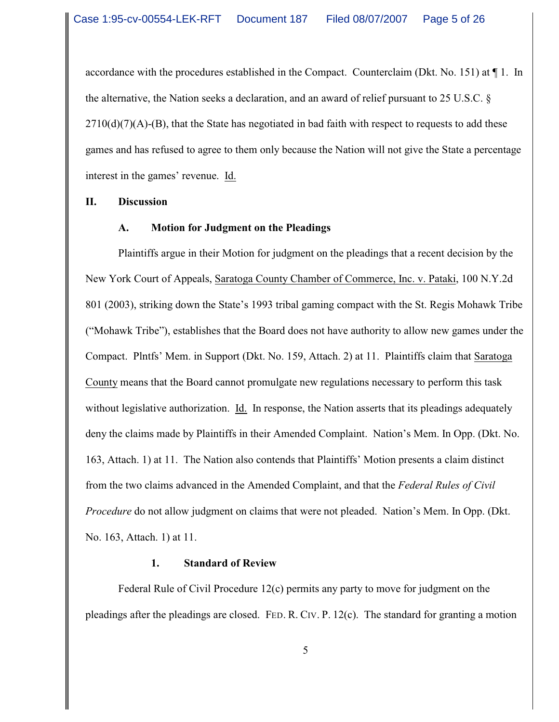accordance with the procedures established in the Compact. Counterclaim (Dkt. No. 151) at ¶ 1. In the alternative, the Nation seeks a declaration, and an award of relief pursuant to 25 U.S.C. §  $2710(d)(7)(A)$ -(B), that the State has negotiated in bad faith with respect to requests to add these games and has refused to agree to them only because the Nation will not give the State a percentage interest in the games' revenue. Id.

#### **II. Discussion**

#### **A. Motion for Judgment on the Pleadings**

Plaintiffs argue in their Motion for judgment on the pleadings that a recent decision by the New York Court of Appeals, Saratoga County Chamber of Commerce, Inc. v. Pataki, 100 N.Y.2d 801 (2003), striking down the State's 1993 tribal gaming compact with the St. Regis Mohawk Tribe ("Mohawk Tribe"), establishes that the Board does not have authority to allow new games under the Compact. Plntfs' Mem. in Support (Dkt. No. 159, Attach. 2) at 11. Plaintiffs claim that Saratoga County means that the Board cannot promulgate new regulations necessary to perform this task without legislative authorization. Id. In response, the Nation asserts that its pleadings adequately deny the claims made by Plaintiffs in their Amended Complaint. Nation's Mem. In Opp. (Dkt. No. 163, Attach. 1) at 11. The Nation also contends that Plaintiffs' Motion presents a claim distinct from the two claims advanced in the Amended Complaint, and that the *Federal Rules of Civil Procedure* do not allow judgment on claims that were not pleaded. Nation's Mem. In Opp. (Dkt. No. 163, Attach. 1) at 11.

#### **1. Standard of Review**

Federal Rule of Civil Procedure 12(c) permits any party to move for judgment on the pleadings after the pleadings are closed. FED. R. CIV. P. 12(c). The standard for granting a motion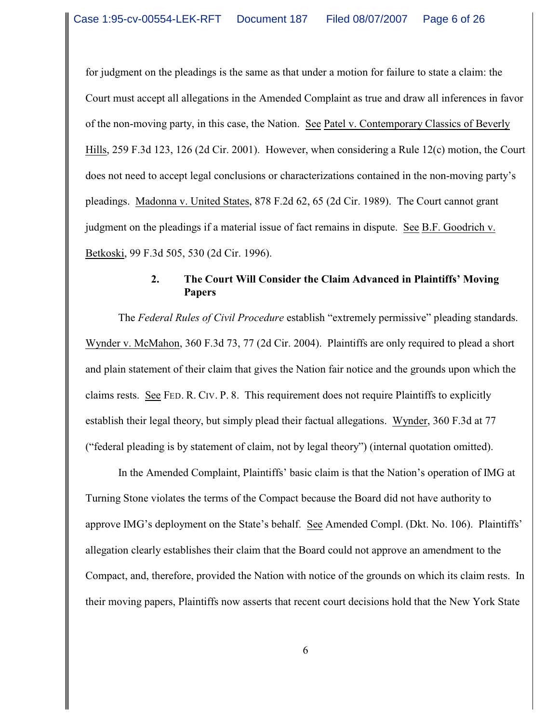for judgment on the pleadings is the same as that under a motion for failure to state a claim: the Court must accept all allegations in the Amended Complaint as true and draw all inferences in favor of the non-moving party, in this case, the Nation. See Patel v. Contemporary Classics of Beverly Hills, 259 F.3d 123, 126 (2d Cir. 2001). However, when considering a Rule 12(c) motion, the Court does not need to accept legal conclusions or characterizations contained in the non-moving party's pleadings. Madonna v. United States, 878 F.2d 62, 65 (2d Cir. 1989). The Court cannot grant judgment on the pleadings if a material issue of fact remains in dispute. See B.F. Goodrich v. Betkoski, 99 F.3d 505, 530 (2d Cir. 1996).

## **2. The Court Will Consider the Claim Advanced in Plaintiffs' Moving Papers**

The *Federal Rules of Civil Procedure* establish "extremely permissive" pleading standards. Wynder v. McMahon, 360 F.3d 73, 77 (2d Cir. 2004). Plaintiffs are only required to plead a short and plain statement of their claim that gives the Nation fair notice and the grounds upon which the claims rests. See FED. R. CIV. P. 8. This requirement does not require Plaintiffs to explicitly establish their legal theory, but simply plead their factual allegations. Wynder, 360 F.3d at 77 ("federal pleading is by statement of claim, not by legal theory") (internal quotation omitted).

In the Amended Complaint, Plaintiffs' basic claim is that the Nation's operation of IMG at Turning Stone violates the terms of the Compact because the Board did not have authority to approve IMG's deployment on the State's behalf. See Amended Compl. (Dkt. No. 106). Plaintiffs' allegation clearly establishes their claim that the Board could not approve an amendment to the Compact, and, therefore, provided the Nation with notice of the grounds on which its claim rests. In their moving papers, Plaintiffs now asserts that recent court decisions hold that the New York State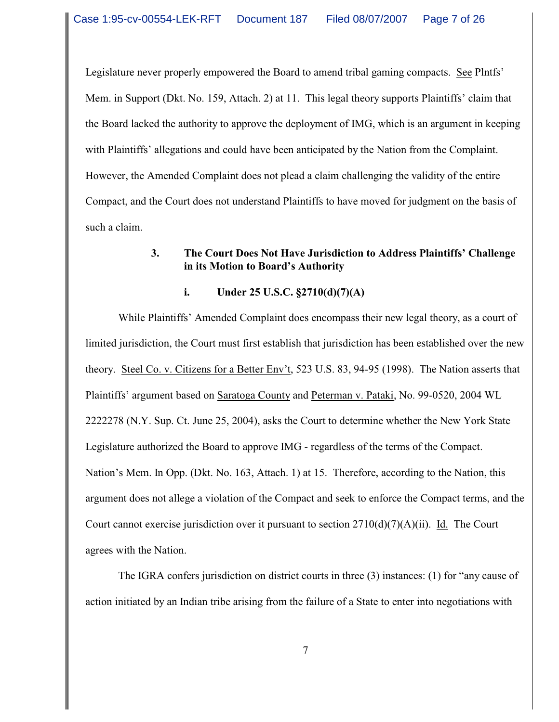Legislature never properly empowered the Board to amend tribal gaming compacts. See Plntfs' Mem. in Support (Dkt. No. 159, Attach. 2) at 11. This legal theory supports Plaintiffs' claim that the Board lacked the authority to approve the deployment of IMG, which is an argument in keeping with Plaintiffs' allegations and could have been anticipated by the Nation from the Complaint. However, the Amended Complaint does not plead a claim challenging the validity of the entire Compact, and the Court does not understand Plaintiffs to have moved for judgment on the basis of such a claim.

# **3. The Court Does Not Have Jurisdiction to Address Plaintiffs' Challenge in its Motion to Board's Authority**

### **i. Under 25 U.S.C. §2710(d)(7)(A)**

While Plaintiffs' Amended Complaint does encompass their new legal theory, as a court of limited jurisdiction, the Court must first establish that jurisdiction has been established over the new theory. Steel Co. v. Citizens for a Better Env't, 523 U.S. 83, 94-95 (1998). The Nation asserts that Plaintiffs' argument based on Saratoga County and Peterman v. Pataki, No. 99-0520, 2004 WL 2222278 (N.Y. Sup. Ct. June 25, 2004), asks the Court to determine whether the New York State Legislature authorized the Board to approve IMG - regardless of the terms of the Compact. Nation's Mem. In Opp. (Dkt. No. 163, Attach. 1) at 15. Therefore, according to the Nation, this argument does not allege a violation of the Compact and seek to enforce the Compact terms, and the Court cannot exercise jurisdiction over it pursuant to section  $2710(d)(7)(A)(ii)$ . Id. The Court agrees with the Nation.

The IGRA confers jurisdiction on district courts in three (3) instances: (1) for "any cause of action initiated by an Indian tribe arising from the failure of a State to enter into negotiations with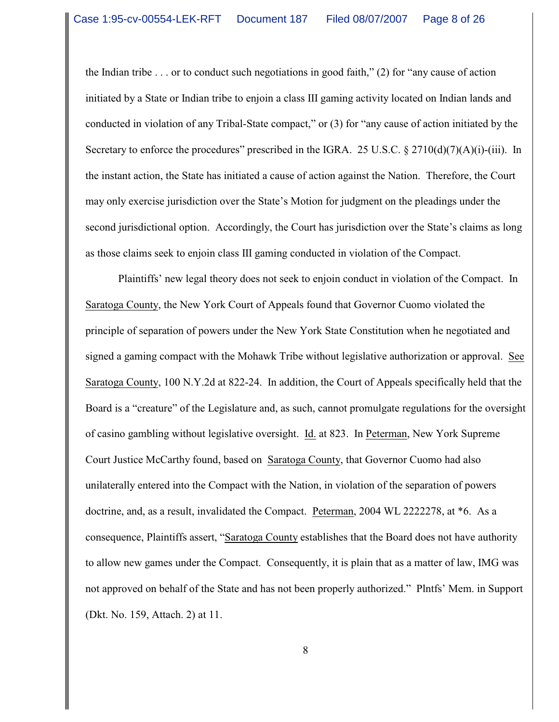the Indian tribe  $\ldots$  or to conduct such negotiations in good faith," (2) for "any cause of action initiated by a State or Indian tribe to enjoin a class III gaming activity located on Indian lands and conducted in violation of any Tribal-State compact," or (3) for "any cause of action initiated by the Secretary to enforce the procedures" prescribed in the IGRA. 25 U.S.C. § 2710(d)(7)(A)(i)-(iii). In the instant action, the State has initiated a cause of action against the Nation. Therefore, the Court may only exercise jurisdiction over the State's Motion for judgment on the pleadings under the second jurisdictional option. Accordingly, the Court has jurisdiction over the State's claims as long as those claims seek to enjoin class III gaming conducted in violation of the Compact.

Plaintiffs' new legal theory does not seek to enjoin conduct in violation of the Compact. In Saratoga County, the New York Court of Appeals found that Governor Cuomo violated the principle of separation of powers under the New York State Constitution when he negotiated and signed a gaming compact with the Mohawk Tribe without legislative authorization or approval. See Saratoga County, 100 N.Y.2d at 822-24. In addition, the Court of Appeals specifically held that the Board is a "creature" of the Legislature and, as such, cannot promulgate regulations for the oversight of casino gambling without legislative oversight. Id. at 823. In Peterman, New York Supreme Court Justice McCarthy found, based on Saratoga County, that Governor Cuomo had also unilaterally entered into the Compact with the Nation, in violation of the separation of powers doctrine, and, as a result, invalidated the Compact. Peterman, 2004 WL 2222278, at \*6. As a consequence, Plaintiffs assert, "Saratoga County establishes that the Board does not have authority to allow new games under the Compact. Consequently, it is plain that as a matter of law, IMG was not approved on behalf of the State and has not been properly authorized." Plntfs' Mem. in Support (Dkt. No. 159, Attach. 2) at 11.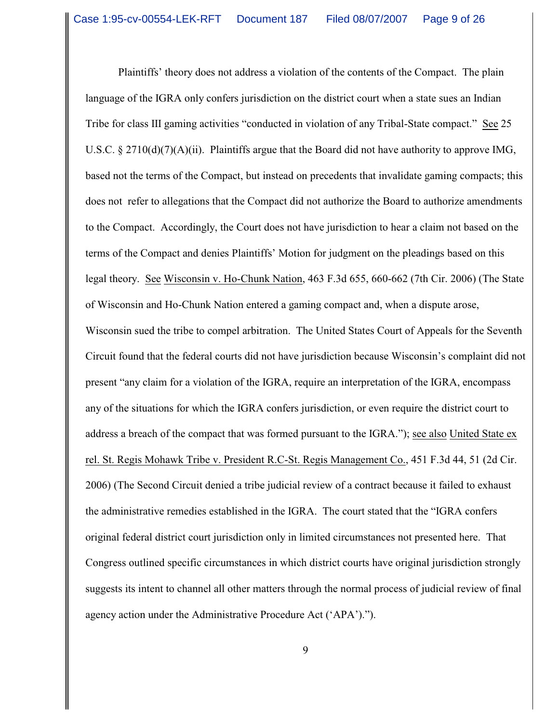Plaintiffs' theory does not address a violation of the contents of the Compact. The plain language of the IGRA only confers jurisdiction on the district court when a state sues an Indian Tribe for class III gaming activities "conducted in violation of any Tribal-State compact." See 25 U.S.C. § 2710(d)(7)(A)(ii). Plaintiffs argue that the Board did not have authority to approve IMG, based not the terms of the Compact, but instead on precedents that invalidate gaming compacts; this does not refer to allegations that the Compact did not authorize the Board to authorize amendments to the Compact. Accordingly, the Court does not have jurisdiction to hear a claim not based on the terms of the Compact and denies Plaintiffs' Motion for judgment on the pleadings based on this legal theory. See Wisconsin v. Ho-Chunk Nation, 463 F.3d 655, 660-662 (7th Cir. 2006) (The State of Wisconsin and Ho-Chunk Nation entered a gaming compact and, when a dispute arose, Wisconsin sued the tribe to compel arbitration. The United States Court of Appeals for the Seventh Circuit found that the federal courts did not have jurisdiction because Wisconsin's complaint did not present "any claim for a violation of the IGRA, require an interpretation of the IGRA, encompass any of the situations for which the IGRA confers jurisdiction, or even require the district court to address a breach of the compact that was formed pursuant to the IGRA."); see also United State ex rel. St. Regis Mohawk Tribe v. President R.C-St. Regis Management Co., 451 F.3d 44, 51 (2d Cir. 2006) (The Second Circuit denied a tribe judicial review of a contract because it failed to exhaust the administrative remedies established in the IGRA. The court stated that the "IGRA confers original federal district court jurisdiction only in limited circumstances not presented here. That Congress outlined specific circumstances in which district courts have original jurisdiction strongly suggests its intent to channel all other matters through the normal process of judicial review of final agency action under the Administrative Procedure Act ('APA').").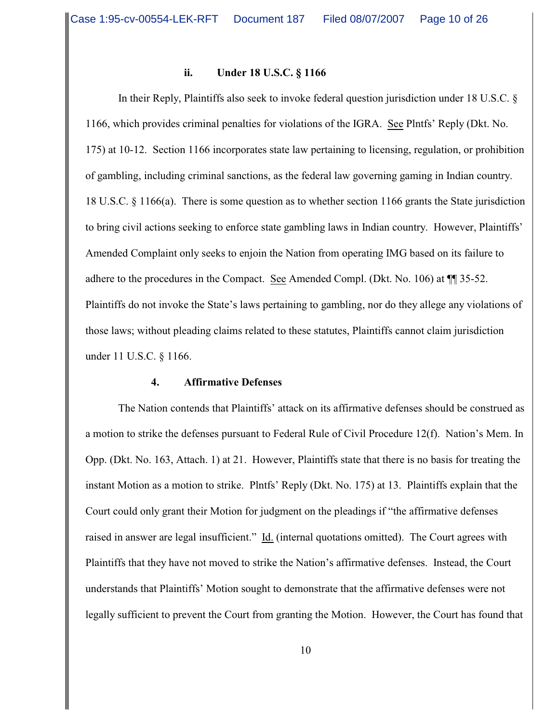#### **ii. Under 18 U.S.C. § 1166**

In their Reply, Plaintiffs also seek to invoke federal question jurisdiction under 18 U.S.C. § 1166, which provides criminal penalties for violations of the IGRA. See Plntfs' Reply (Dkt. No. 175) at 10-12. Section 1166 incorporates state law pertaining to licensing, regulation, or prohibition of gambling, including criminal sanctions, as the federal law governing gaming in Indian country. 18 U.S.C. § 1166(a). There is some question as to whether section 1166 grants the State jurisdiction to bring civil actions seeking to enforce state gambling laws in Indian country. However, Plaintiffs' Amended Complaint only seeks to enjoin the Nation from operating IMG based on its failure to adhere to the procedures in the Compact. See Amended Compl. (Dkt. No. 106) at ¶¶ 35-52. Plaintiffs do not invoke the State's laws pertaining to gambling, nor do they allege any violations of those laws; without pleading claims related to these statutes, Plaintiffs cannot claim jurisdiction under 11 U.S.C. § 1166.

#### **4. Affirmative Defenses**

The Nation contends that Plaintiffs' attack on its affirmative defenses should be construed as a motion to strike the defenses pursuant to Federal Rule of Civil Procedure 12(f). Nation's Mem. In Opp. (Dkt. No. 163, Attach. 1) at 21. However, Plaintiffs state that there is no basis for treating the instant Motion as a motion to strike. Plntfs' Reply (Dkt. No. 175) at 13. Plaintiffs explain that the Court could only grant their Motion for judgment on the pleadings if "the affirmative defenses raised in answer are legal insufficient." Id. (internal quotations omitted). The Court agrees with Plaintiffs that they have not moved to strike the Nation's affirmative defenses. Instead, the Court understands that Plaintiffs' Motion sought to demonstrate that the affirmative defenses were not legally sufficient to prevent the Court from granting the Motion. However, the Court has found that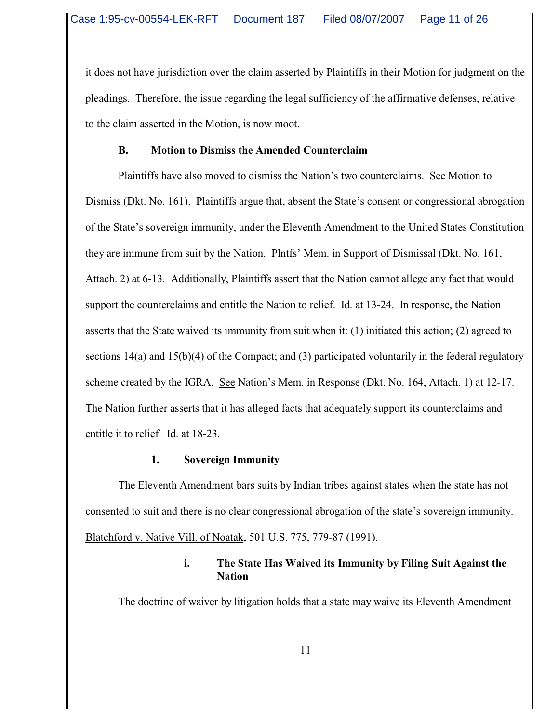it does not have jurisdiction over the claim asserted by Plaintiffs in their Motion for judgment on the pleadings. Therefore, the issue regarding the legal sufficiency of the affirmative defenses, relative to the claim asserted in the Motion, is now moot.

## **B. Motion to Dismiss the Amended Counterclaim**

Plaintiffs have also moved to dismiss the Nation's two counterclaims. See Motion to Dismiss (Dkt. No. 161). Plaintiffs argue that, absent the State's consent or congressional abrogation of the State's sovereign immunity, under the Eleventh Amendment to the United States Constitution they are immune from suit by the Nation. Plntfs' Mem. in Support of Dismissal (Dkt. No. 161, Attach. 2) at 6-13. Additionally, Plaintiffs assert that the Nation cannot allege any fact that would support the counterclaims and entitle the Nation to relief. Id. at 13-24. In response, the Nation asserts that the State waived its immunity from suit when it: (1) initiated this action; (2) agreed to sections 14(a) and 15(b)(4) of the Compact; and (3) participated voluntarily in the federal regulatory scheme created by the IGRA. See Nation's Mem. in Response (Dkt. No. 164, Attach. 1) at 12-17. The Nation further asserts that it has alleged facts that adequately support its counterclaims and entitle it to relief. Id. at 18-23.

## **1. Sovereign Immunity**

The Eleventh Amendment bars suits by Indian tribes against states when the state has not consented to suit and there is no clear congressional abrogation of the state's sovereign immunity. Blatchford v. Native Vill. of Noatak, 501 U.S. 775, 779-87 (1991).

# **i. The State Has Waived its Immunity by Filing Suit Against the Nation**

The doctrine of waiver by litigation holds that a state may waive its Eleventh Amendment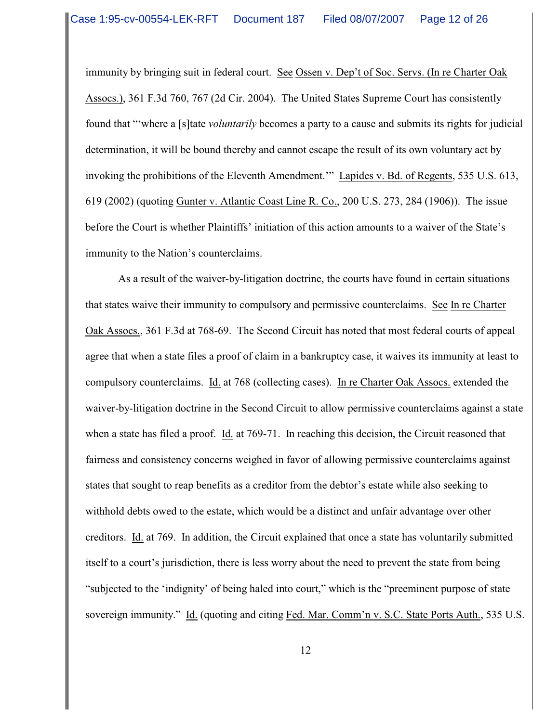immunity by bringing suit in federal court. See Ossen v. Dep't of Soc. Servs. (In re Charter Oak Assocs.), 361 F.3d 760, 767 (2d Cir. 2004). The United States Supreme Court has consistently found that "'where a [s]tate *voluntarily* becomes a party to a cause and submits its rights for judicial determination, it will be bound thereby and cannot escape the result of its own voluntary act by invoking the prohibitions of the Eleventh Amendment.'" Lapides v. Bd. of Regents, 535 U.S. 613, 619 (2002) (quoting Gunter v. Atlantic Coast Line R. Co., 200 U.S. 273, 284 (1906)). The issue before the Court is whether Plaintiffs' initiation of this action amounts to a waiver of the State's immunity to the Nation's counterclaims.

As a result of the waiver-by-litigation doctrine, the courts have found in certain situations that states waive their immunity to compulsory and permissive counterclaims. See In re Charter Oak Assocs., 361 F.3d at 768-69. The Second Circuit has noted that most federal courts of appeal agree that when a state files a proof of claim in a bankruptcy case, it waives its immunity at least to compulsory counterclaims. Id. at 768 (collecting cases). In re Charter Oak Assocs. extended the waiver-by-litigation doctrine in the Second Circuit to allow permissive counterclaims against a state when a state has filed a proof. Id. at 769-71. In reaching this decision, the Circuit reasoned that fairness and consistency concerns weighed in favor of allowing permissive counterclaims against states that sought to reap benefits as a creditor from the debtor's estate while also seeking to withhold debts owed to the estate, which would be a distinct and unfair advantage over other creditors. Id. at 769. In addition, the Circuit explained that once a state has voluntarily submitted itself to a court's jurisdiction, there is less worry about the need to prevent the state from being "subjected to the 'indignity' of being haled into court," which is the "preeminent purpose of state sovereign immunity." Id. (quoting and citing Fed. Mar. Comm'n v. S.C. State Ports Auth., 535 U.S.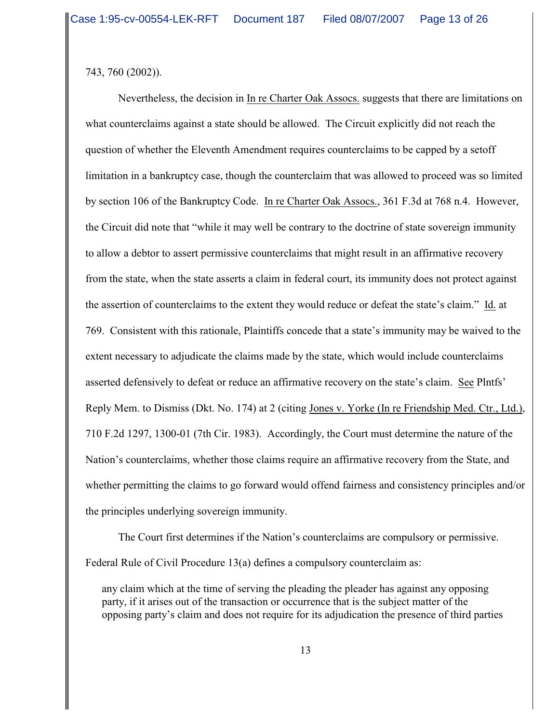743, 760 (2002)).

Nevertheless, the decision in In re Charter Oak Assocs. suggests that there are limitations on what counterclaims against a state should be allowed. The Circuit explicitly did not reach the question of whether the Eleventh Amendment requires counterclaims to be capped by a setoff limitation in a bankruptcy case, though the counterclaim that was allowed to proceed was so limited by section 106 of the Bankruptcy Code. In re Charter Oak Assocs., 361 F.3d at 768 n.4. However, the Circuit did note that "while it may well be contrary to the doctrine of state sovereign immunity to allow a debtor to assert permissive counterclaims that might result in an affirmative recovery from the state, when the state asserts a claim in federal court, its immunity does not protect against the assertion of counterclaims to the extent they would reduce or defeat the state's claim." Id. at 769. Consistent with this rationale, Plaintiffs concede that a state's immunity may be waived to the extent necessary to adjudicate the claims made by the state, which would include counterclaims asserted defensively to defeat or reduce an affirmative recovery on the state's claim. See Plntfs' Reply Mem. to Dismiss (Dkt. No. 174) at 2 (citing Jones v. Yorke (In re Friendship Med. Ctr., Ltd.), 710 F.2d 1297, 1300-01 (7th Cir. 1983). Accordingly, the Court must determine the nature of the Nation's counterclaims, whether those claims require an affirmative recovery from the State, and whether permitting the claims to go forward would offend fairness and consistency principles and/or the principles underlying sovereign immunity.

The Court first determines if the Nation's counterclaims are compulsory or permissive. Federal Rule of Civil Procedure 13(a) defines a compulsory counterclaim as:

any claim which at the time of serving the pleading the pleader has against any opposing party, if it arises out of the transaction or occurrence that is the subject matter of the opposing party's claim and does not require for its adjudication the presence of third parties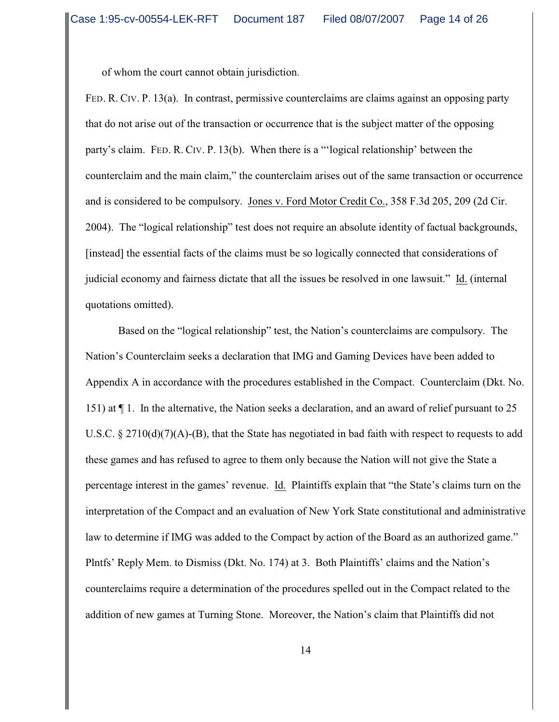of whom the court cannot obtain jurisdiction.

FED. R. CIV. P. 13(a). In contrast, permissive counterclaims are claims against an opposing party that do not arise out of the transaction or occurrence that is the subject matter of the opposing party's claim. FED. R. CIV. P. 13(b). When there is a "'logical relationship' between the counterclaim and the main claim," the counterclaim arises out of the same transaction or occurrence and is considered to be compulsory. Jones v. Ford Motor Credit Co., 358 F.3d 205, 209 (2d Cir. 2004). The "logical relationship" test does not require an absolute identity of factual backgrounds, [instead] the essential facts of the claims must be so logically connected that considerations of judicial economy and fairness dictate that all the issues be resolved in one lawsuit." Id. (internal quotations omitted).

Based on the "logical relationship" test, the Nation's counterclaims are compulsory. The Nation's Counterclaim seeks a declaration that IMG and Gaming Devices have been added to Appendix A in accordance with the procedures established in the Compact. Counterclaim (Dkt. No. 151) at ¶ 1. In the alternative, the Nation seeks a declaration, and an award of relief pursuant to 25 U.S.C.  $\S 2710(d)(7)(A)$ -(B), that the State has negotiated in bad faith with respect to requests to add these games and has refused to agree to them only because the Nation will not give the State a percentage interest in the games' revenue. Id. Plaintiffs explain that "the State's claims turn on the interpretation of the Compact and an evaluation of New York State constitutional and administrative law to determine if IMG was added to the Compact by action of the Board as an authorized game." Plntfs' Reply Mem. to Dismiss (Dkt. No. 174) at 3. Both Plaintiffs' claims and the Nation's counterclaims require a determination of the procedures spelled out in the Compact related to the addition of new games at Turning Stone. Moreover, the Nation's claim that Plaintiffs did not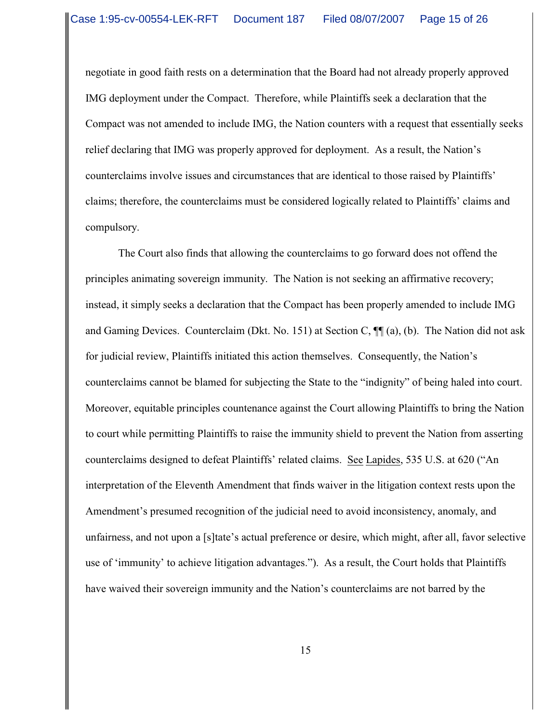negotiate in good faith rests on a determination that the Board had not already properly approved IMG deployment under the Compact. Therefore, while Plaintiffs seek a declaration that the Compact was not amended to include IMG, the Nation counters with a request that essentially seeks relief declaring that IMG was properly approved for deployment. As a result, the Nation's counterclaims involve issues and circumstances that are identical to those raised by Plaintiffs' claims; therefore, the counterclaims must be considered logically related to Plaintiffs' claims and compulsory.

The Court also finds that allowing the counterclaims to go forward does not offend the principles animating sovereign immunity. The Nation is not seeking an affirmative recovery; instead, it simply seeks a declaration that the Compact has been properly amended to include IMG and Gaming Devices. Counterclaim (Dkt. No. 151) at Section C, ¶¶ (a), (b). The Nation did not ask for judicial review, Plaintiffs initiated this action themselves. Consequently, the Nation's counterclaims cannot be blamed for subjecting the State to the "indignity" of being haled into court. Moreover, equitable principles countenance against the Court allowing Plaintiffs to bring the Nation to court while permitting Plaintiffs to raise the immunity shield to prevent the Nation from asserting counterclaims designed to defeat Plaintiffs' related claims. See Lapides, 535 U.S. at 620 ("An interpretation of the Eleventh Amendment that finds waiver in the litigation context rests upon the Amendment's presumed recognition of the judicial need to avoid inconsistency, anomaly, and unfairness, and not upon a [s]tate's actual preference or desire, which might, after all, favor selective use of 'immunity' to achieve litigation advantages."). As a result, the Court holds that Plaintiffs have waived their sovereign immunity and the Nation's counterclaims are not barred by the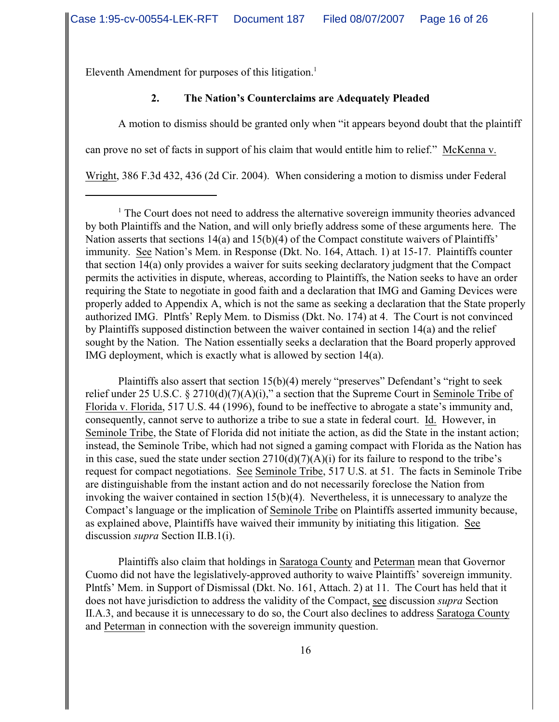Eleventh Amendment for purposes of this litigation.<sup>1</sup>

# **2. The Nation's Counterclaims are Adequately Pleaded**

A motion to dismiss should be granted only when "it appears beyond doubt that the plaintiff can prove no set of facts in support of his claim that would entitle him to relief." McKenna v. Wright, 386 F.3d 432, 436 (2d Cir. 2004). When considering a motion to dismiss under Federal

Plaintiffs also assert that section 15(b)(4) merely "preserves" Defendant's "right to seek relief under 25 U.S.C. § 2710(d)(7)(A)(i)," a section that the Supreme Court in Seminole Tribe of Florida v. Florida, 517 U.S. 44 (1996), found to be ineffective to abrogate a state's immunity and, consequently, cannot serve to authorize a tribe to sue a state in federal court. Id. However, in Seminole Tribe, the State of Florida did not initiate the action, as did the State in the instant action; instead, the Seminole Tribe, which had not signed a gaming compact with Florida as the Nation has in this case, sued the state under section  $2710(d)(7)(A)(i)$  for its failure to respond to the tribe's request for compact negotiations. See Seminole Tribe, 517 U.S. at 51. The facts in Seminole Tribe are distinguishable from the instant action and do not necessarily foreclose the Nation from invoking the waiver contained in section 15(b)(4). Nevertheless, it is unnecessary to analyze the Compact's language or the implication of Seminole Tribe on Plaintiffs asserted immunity because, as explained above, Plaintiffs have waived their immunity by initiating this litigation. See discussion *supra* Section II.B.1(i).

Plaintiffs also claim that holdings in Saratoga County and Peterman mean that Governor Cuomo did not have the legislatively-approved authority to waive Plaintiffs' sovereign immunity. Plntfs' Mem. in Support of Dismissal (Dkt. No. 161, Attach. 2) at 11. The Court has held that it does not have jurisdiction to address the validity of the Compact, see discussion *supra* Section II.A.3, and because it is unnecessary to do so, the Court also declines to address Saratoga County and Peterman in connection with the sovereign immunity question.

 $1$  The Court does not need to address the alternative sovereign immunity theories advanced by both Plaintiffs and the Nation, and will only briefly address some of these arguments here. The Nation asserts that sections 14(a) and 15(b)(4) of the Compact constitute waivers of Plaintiffs' immunity. See Nation's Mem. in Response (Dkt. No. 164, Attach. 1) at 15-17. Plaintiffs counter that section 14(a) only provides a waiver for suits seeking declaratory judgment that the Compact permits the activities in dispute, whereas, according to Plaintiffs, the Nation seeks to have an order requiring the State to negotiate in good faith and a declaration that IMG and Gaming Devices were properly added to Appendix A, which is not the same as seeking a declaration that the State properly authorized IMG. Plntfs' Reply Mem. to Dismiss (Dkt. No. 174) at 4. The Court is not convinced by Plaintiffs supposed distinction between the waiver contained in section 14(a) and the relief sought by the Nation. The Nation essentially seeks a declaration that the Board properly approved IMG deployment, which is exactly what is allowed by section 14(a).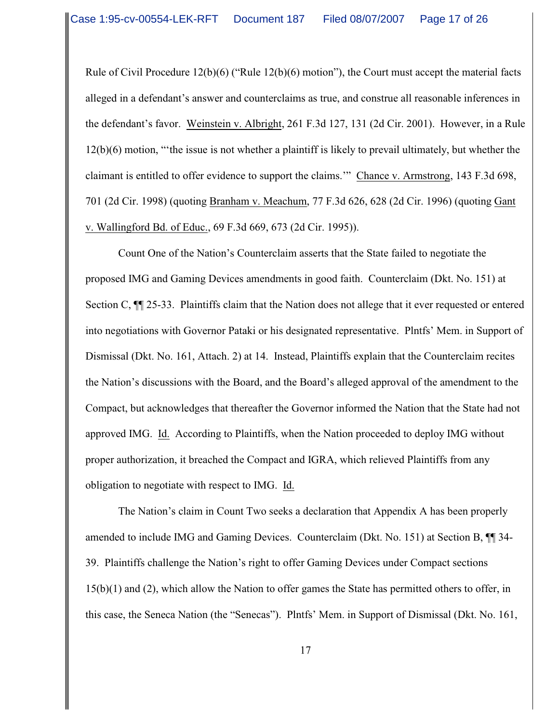Rule of Civil Procedure 12(b)(6) ("Rule 12(b)(6) motion"), the Court must accept the material facts alleged in a defendant's answer and counterclaims as true, and construe all reasonable inferences in the defendant's favor. Weinstein v. Albright, 261 F.3d 127, 131 (2d Cir. 2001). However, in a Rule 12(b)(6) motion, "'the issue is not whether a plaintiff is likely to prevail ultimately, but whether the claimant is entitled to offer evidence to support the claims.'" Chance v. Armstrong, 143 F.3d 698, 701 (2d Cir. 1998) (quoting Branham v. Meachum, 77 F.3d 626, 628 (2d Cir. 1996) (quoting Gant v. Wallingford Bd. of Educ., 69 F.3d 669, 673 (2d Cir. 1995)).

Count One of the Nation's Counterclaim asserts that the State failed to negotiate the proposed IMG and Gaming Devices amendments in good faith. Counterclaim (Dkt. No. 151) at Section C, ¶¶ 25-33. Plaintiffs claim that the Nation does not allege that it ever requested or entered into negotiations with Governor Pataki or his designated representative. Plntfs' Mem. in Support of Dismissal (Dkt. No. 161, Attach. 2) at 14. Instead, Plaintiffs explain that the Counterclaim recites the Nation's discussions with the Board, and the Board's alleged approval of the amendment to the Compact, but acknowledges that thereafter the Governor informed the Nation that the State had not approved IMG. Id. According to Plaintiffs, when the Nation proceeded to deploy IMG without proper authorization, it breached the Compact and IGRA, which relieved Plaintiffs from any obligation to negotiate with respect to IMG. Id.

The Nation's claim in Count Two seeks a declaration that Appendix A has been properly amended to include IMG and Gaming Devices. Counterclaim (Dkt. No. 151) at Section B, ¶¶ 34- 39. Plaintiffs challenge the Nation's right to offer Gaming Devices under Compact sections 15(b)(1) and (2), which allow the Nation to offer games the State has permitted others to offer, in this case, the Seneca Nation (the "Senecas"). Plntfs' Mem. in Support of Dismissal (Dkt. No. 161,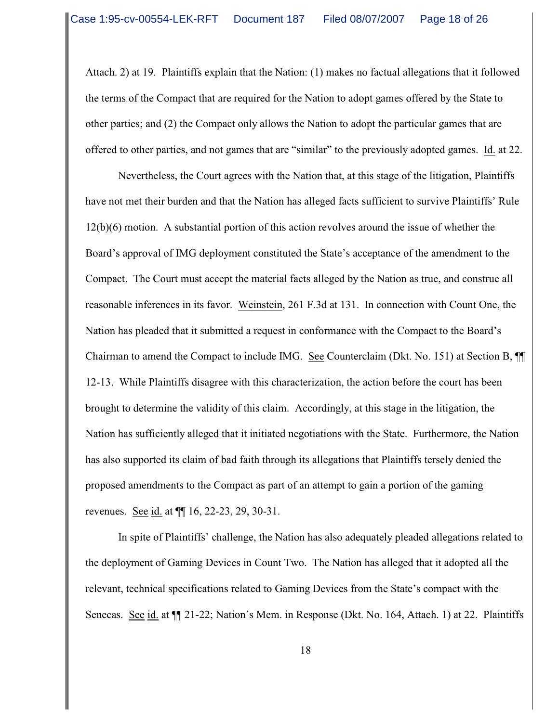Attach. 2) at 19. Plaintiffs explain that the Nation: (1) makes no factual allegations that it followed the terms of the Compact that are required for the Nation to adopt games offered by the State to other parties; and (2) the Compact only allows the Nation to adopt the particular games that are offered to other parties, and not games that are "similar" to the previously adopted games. Id. at 22.

Nevertheless, the Court agrees with the Nation that, at this stage of the litigation, Plaintiffs have not met their burden and that the Nation has alleged facts sufficient to survive Plaintiffs' Rule 12(b)(6) motion. A substantial portion of this action revolves around the issue of whether the Board's approval of IMG deployment constituted the State's acceptance of the amendment to the Compact. The Court must accept the material facts alleged by the Nation as true, and construe all reasonable inferences in its favor. Weinstein, 261 F.3d at 131. In connection with Count One, the Nation has pleaded that it submitted a request in conformance with the Compact to the Board's Chairman to amend the Compact to include IMG. See Counterclaim (Dkt. No. 151) at Section B, ¶¶ 12-13. While Plaintiffs disagree with this characterization, the action before the court has been brought to determine the validity of this claim. Accordingly, at this stage in the litigation, the Nation has sufficiently alleged that it initiated negotiations with the State. Furthermore, the Nation has also supported its claim of bad faith through its allegations that Plaintiffs tersely denied the proposed amendments to the Compact as part of an attempt to gain a portion of the gaming revenues. See id. at ¶¶ 16, 22-23, 29, 30-31.

In spite of Plaintiffs' challenge, the Nation has also adequately pleaded allegations related to the deployment of Gaming Devices in Count Two. The Nation has alleged that it adopted all the relevant, technical specifications related to Gaming Devices from the State's compact with the Senecas. See id. at  $\P$ [21-22; Nation's Mem. in Response (Dkt. No. 164, Attach. 1) at 22. Plaintiffs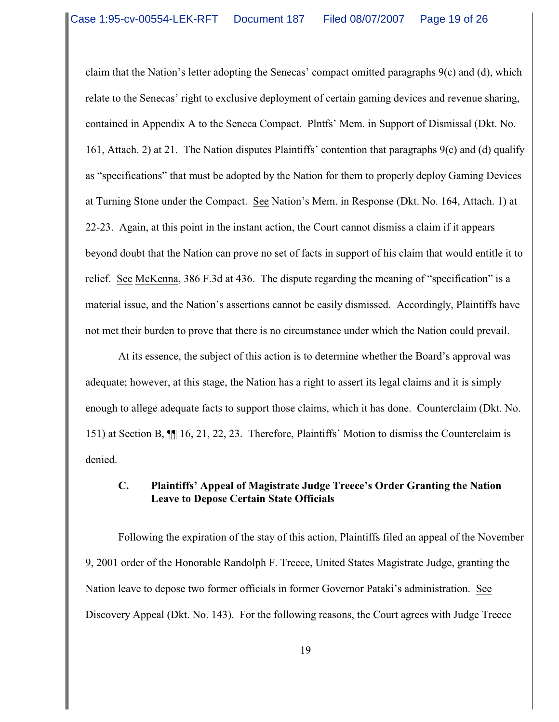claim that the Nation's letter adopting the Senecas' compact omitted paragraphs 9(c) and (d), which relate to the Senecas' right to exclusive deployment of certain gaming devices and revenue sharing, contained in Appendix A to the Seneca Compact. Plntfs' Mem. in Support of Dismissal (Dkt. No. 161, Attach. 2) at 21. The Nation disputes Plaintiffs' contention that paragraphs 9(c) and (d) qualify as "specifications" that must be adopted by the Nation for them to properly deploy Gaming Devices at Turning Stone under the Compact. See Nation's Mem. in Response (Dkt. No. 164, Attach. 1) at 22-23. Again, at this point in the instant action, the Court cannot dismiss a claim if it appears beyond doubt that the Nation can prove no set of facts in support of his claim that would entitle it to relief. See McKenna, 386 F.3d at 436. The dispute regarding the meaning of "specification" is a material issue, and the Nation's assertions cannot be easily dismissed. Accordingly, Plaintiffs have not met their burden to prove that there is no circumstance under which the Nation could prevail.

At its essence, the subject of this action is to determine whether the Board's approval was adequate; however, at this stage, the Nation has a right to assert its legal claims and it is simply enough to allege adequate facts to support those claims, which it has done. Counterclaim (Dkt. No. 151) at Section B, ¶¶ 16, 21, 22, 23. Therefore, Plaintiffs' Motion to dismiss the Counterclaim is denied.

## **C. Plaintiffs' Appeal of Magistrate Judge Treece's Order Granting the Nation Leave to Depose Certain State Officials**

Following the expiration of the stay of this action, Plaintiffs filed an appeal of the November 9, 2001 order of the Honorable Randolph F. Treece, United States Magistrate Judge, granting the Nation leave to depose two former officials in former Governor Pataki's administration. See Discovery Appeal (Dkt. No. 143). For the following reasons, the Court agrees with Judge Treece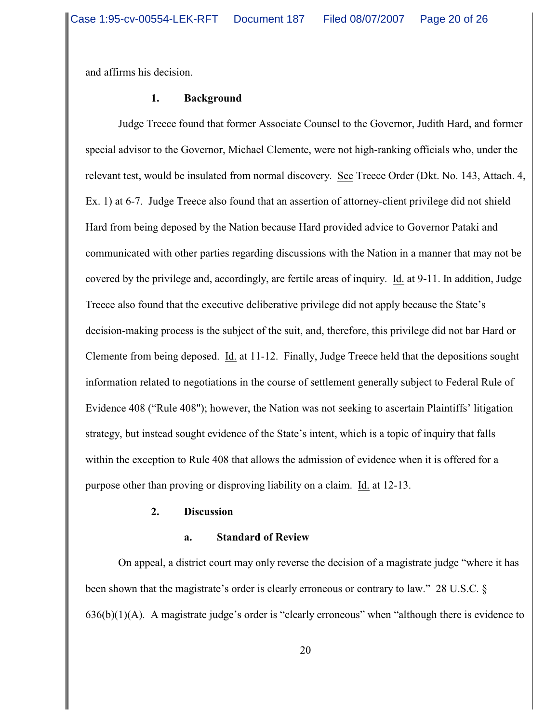and affirms his decision.

### **1. Background**

Judge Treece found that former Associate Counsel to the Governor, Judith Hard, and former special advisor to the Governor, Michael Clemente, were not high-ranking officials who, under the relevant test, would be insulated from normal discovery. See Treece Order (Dkt. No. 143, Attach. 4, Ex. 1) at 6-7. Judge Treece also found that an assertion of attorney-client privilege did not shield Hard from being deposed by the Nation because Hard provided advice to Governor Pataki and communicated with other parties regarding discussions with the Nation in a manner that may not be covered by the privilege and, accordingly, are fertile areas of inquiry. Id. at 9-11. In addition, Judge Treece also found that the executive deliberative privilege did not apply because the State's decision-making process is the subject of the suit, and, therefore, this privilege did not bar Hard or Clemente from being deposed. Id. at 11-12. Finally, Judge Treece held that the depositions sought information related to negotiations in the course of settlement generally subject to Federal Rule of Evidence 408 ("Rule 408"); however, the Nation was not seeking to ascertain Plaintiffs' litigation strategy, but instead sought evidence of the State's intent, which is a topic of inquiry that falls within the exception to Rule 408 that allows the admission of evidence when it is offered for a purpose other than proving or disproving liability on a claim. Id. at 12-13.

### **2. Discussion**

#### **a. Standard of Review**

On appeal, a district court may only reverse the decision of a magistrate judge "where it has been shown that the magistrate's order is clearly erroneous or contrary to law." 28 U.S.C. § 636(b)(1)(A). A magistrate judge's order is "clearly erroneous" when "although there is evidence to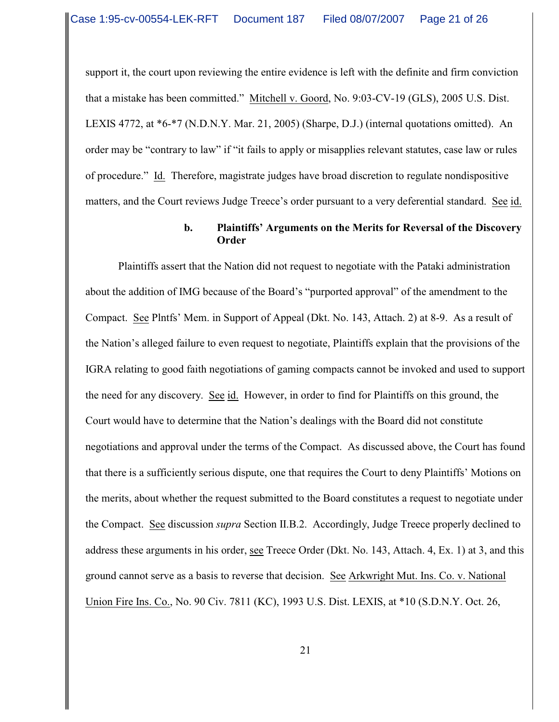support it, the court upon reviewing the entire evidence is left with the definite and firm conviction that a mistake has been committed." Mitchell v. Goord, No. 9:03-CV-19 (GLS), 2005 U.S. Dist. LEXIS 4772, at \*6-\*7 (N.D.N.Y. Mar. 21, 2005) (Sharpe, D.J.) (internal quotations omitted). An order may be "contrary to law" if "it fails to apply or misapplies relevant statutes, case law or rules of procedure." Id. Therefore, magistrate judges have broad discretion to regulate nondispositive matters, and the Court reviews Judge Treece's order pursuant to a very deferential standard. See id.

### **b. Plaintiffs' Arguments on the Merits for Reversal of the Discovery Order**

Plaintiffs assert that the Nation did not request to negotiate with the Pataki administration about the addition of IMG because of the Board's "purported approval" of the amendment to the Compact. See Plntfs' Mem. in Support of Appeal (Dkt. No. 143, Attach. 2) at 8-9. As a result of the Nation's alleged failure to even request to negotiate, Plaintiffs explain that the provisions of the IGRA relating to good faith negotiations of gaming compacts cannot be invoked and used to support the need for any discovery. See id. However, in order to find for Plaintiffs on this ground, the Court would have to determine that the Nation's dealings with the Board did not constitute negotiations and approval under the terms of the Compact. As discussed above, the Court has found that there is a sufficiently serious dispute, one that requires the Court to deny Plaintiffs' Motions on the merits, about whether the request submitted to the Board constitutes a request to negotiate under the Compact. See discussion *supra* Section II.B.2. Accordingly, Judge Treece properly declined to address these arguments in his order, see Treece Order (Dkt. No. 143, Attach. 4, Ex. 1) at 3, and this ground cannot serve as a basis to reverse that decision. See Arkwright Mut. Ins. Co. v. National Union Fire Ins. Co., No. 90 Civ. 7811 (KC), 1993 U.S. Dist. LEXIS, at \*10 (S.D.N.Y. Oct. 26,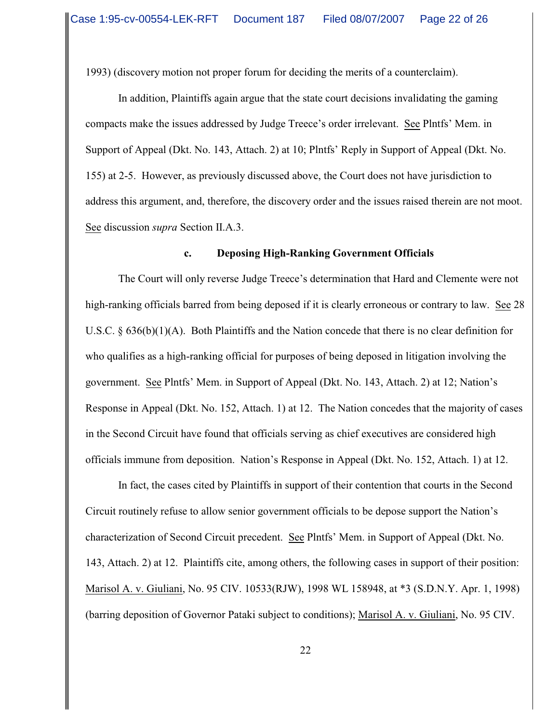1993) (discovery motion not proper forum for deciding the merits of a counterclaim).

In addition, Plaintiffs again argue that the state court decisions invalidating the gaming compacts make the issues addressed by Judge Treece's order irrelevant. See Plntfs' Mem. in Support of Appeal (Dkt. No. 143, Attach. 2) at 10; Plntfs' Reply in Support of Appeal (Dkt. No. 155) at 2-5. However, as previously discussed above, the Court does not have jurisdiction to address this argument, and, therefore, the discovery order and the issues raised therein are not moot. See discussion *supra* Section II.A.3.

#### **c. Deposing High-Ranking Government Officials**

The Court will only reverse Judge Treece's determination that Hard and Clemente were not high-ranking officials barred from being deposed if it is clearly erroneous or contrary to law. See 28 U.S.C. § 636(b)(1)(A). Both Plaintiffs and the Nation concede that there is no clear definition for who qualifies as a high-ranking official for purposes of being deposed in litigation involving the government. See Plntfs' Mem. in Support of Appeal (Dkt. No. 143, Attach. 2) at 12; Nation's Response in Appeal (Dkt. No. 152, Attach. 1) at 12. The Nation concedes that the majority of cases in the Second Circuit have found that officials serving as chief executives are considered high officials immune from deposition. Nation's Response in Appeal (Dkt. No. 152, Attach. 1) at 12.

In fact, the cases cited by Plaintiffs in support of their contention that courts in the Second Circuit routinely refuse to allow senior government officials to be depose support the Nation's characterization of Second Circuit precedent. See Plntfs' Mem. in Support of Appeal (Dkt. No. 143, Attach. 2) at 12. Plaintiffs cite, among others, the following cases in support of their position: Marisol A. v. Giuliani, No. 95 CIV. 10533(RJW), 1998 WL 158948, at \*3 (S.D.N.Y. Apr. 1, 1998) (barring deposition of Governor Pataki subject to conditions); Marisol A. v. Giuliani, No. 95 CIV.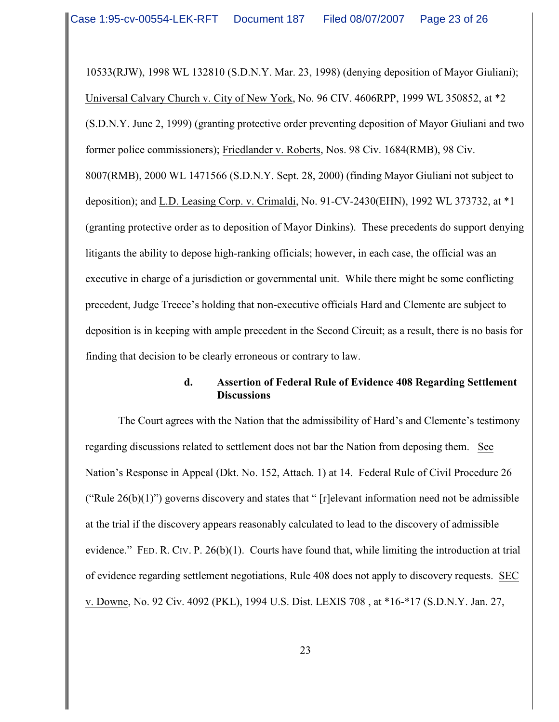10533(RJW), 1998 WL 132810 (S.D.N.Y. Mar. 23, 1998) (denying deposition of Mayor Giuliani); Universal Calvary Church v. City of New York, No. 96 CIV. 4606RPP, 1999 WL 350852, at \*2 (S.D.N.Y. June 2, 1999) (granting protective order preventing deposition of Mayor Giuliani and two former police commissioners); Friedlander v. Roberts, Nos. 98 Civ. 1684(RMB), 98 Civ. 8007(RMB), 2000 WL 1471566 (S.D.N.Y. Sept. 28, 2000) (finding Mayor Giuliani not subject to deposition); and L.D. Leasing Corp. v. Crimaldi, No. 91-CV-2430(EHN), 1992 WL 373732, at \*1 (granting protective order as to deposition of Mayor Dinkins). These precedents do support denying litigants the ability to depose high-ranking officials; however, in each case, the official was an executive in charge of a jurisdiction or governmental unit. While there might be some conflicting precedent, Judge Treece's holding that non-executive officials Hard and Clemente are subject to deposition is in keeping with ample precedent in the Second Circuit; as a result, there is no basis for finding that decision to be clearly erroneous or contrary to law.

## **d. Assertion of Federal Rule of Evidence 408 Regarding Settlement Discussions**

The Court agrees with the Nation that the admissibility of Hard's and Clemente's testimony regarding discussions related to settlement does not bar the Nation from deposing them. See Nation's Response in Appeal (Dkt. No. 152, Attach. 1) at 14. Federal Rule of Civil Procedure 26 ("Rule  $26(b)(1)$ ") governs discovery and states that " [r]elevant information need not be admissible at the trial if the discovery appears reasonably calculated to lead to the discovery of admissible evidence." FED. R. CIV. P.  $26(b)(1)$ . Courts have found that, while limiting the introduction at trial of evidence regarding settlement negotiations, Rule 408 does not apply to discovery requests. SEC v. Downe, No. 92 Civ. 4092 (PKL), 1994 U.S. Dist. LEXIS 708 , at \*16-\*17 (S.D.N.Y. Jan. 27,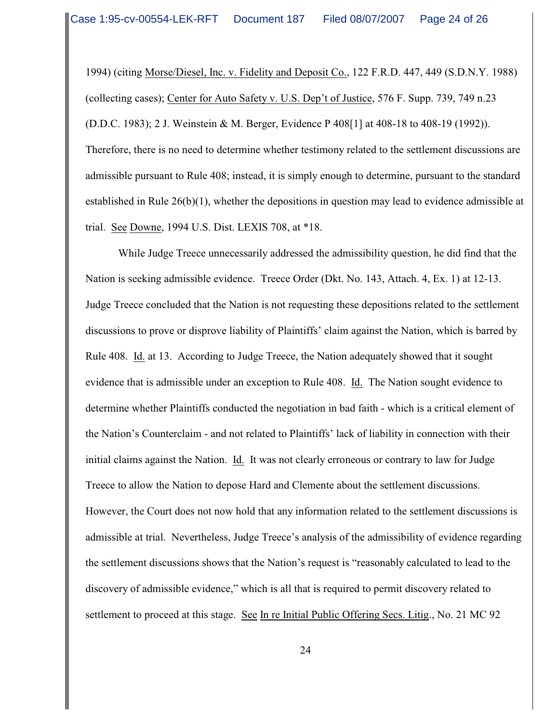1994) (citing Morse/Diesel, Inc. v. Fidelity and Deposit Co., 122 F.R.D. 447, 449 (S.D.N.Y. 1988) (collecting cases); Center for Auto Safety v. U.S. Dep't of Justice, 576 F. Supp. 739, 749 n.23 (D.D.C. 1983); 2 J. Weinstein & M. Berger, Evidence P 408[1] at 408-18 to 408-19 (1992)). Therefore, there is no need to determine whether testimony related to the settlement discussions are admissible pursuant to Rule 408; instead, it is simply enough to determine, pursuant to the standard established in Rule 26(b)(1), whether the depositions in question may lead to evidence admissible at trial. See Downe, 1994 U.S. Dist. LEXIS 708, at \*18.

While Judge Treece unnecessarily addressed the admissibility question, he did find that the Nation is seeking admissible evidence. Treece Order (Dkt. No. 143, Attach. 4, Ex. 1) at 12-13. Judge Treece concluded that the Nation is not requesting these depositions related to the settlement discussions to prove or disprove liability of Plaintiffs' claim against the Nation, which is barred by Rule 408. Id. at 13. According to Judge Treece, the Nation adequately showed that it sought evidence that is admissible under an exception to Rule 408. Id. The Nation sought evidence to determine whether Plaintiffs conducted the negotiation in bad faith - which is a critical element of the Nation's Counterclaim - and not related to Plaintiffs' lack of liability in connection with their initial claims against the Nation. Id. It was not clearly erroneous or contrary to law for Judge Treece to allow the Nation to depose Hard and Clemente about the settlement discussions. However, the Court does not now hold that any information related to the settlement discussions is admissible at trial. Nevertheless, Judge Treece's analysis of the admissibility of evidence regarding the settlement discussions shows that the Nation's request is "reasonably calculated to lead to the discovery of admissible evidence," which is all that is required to permit discovery related to settlement to proceed at this stage. See In re Initial Public Offering Secs. Litig., No. 21 MC 92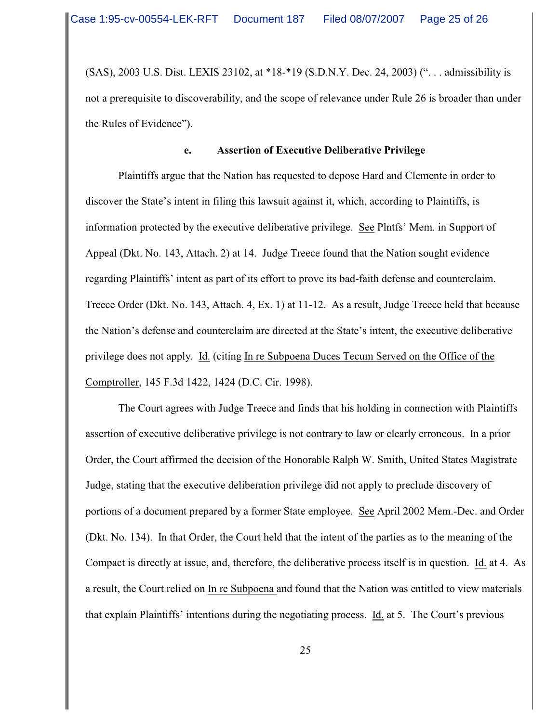(SAS), 2003 U.S. Dist. LEXIS 23102, at \*18-\*19 (S.D.N.Y. Dec. 24, 2003) (". . . admissibility is not a prerequisite to discoverability, and the scope of relevance under Rule 26 is broader than under the Rules of Evidence").

### **e. Assertion of Executive Deliberative Privilege**

Plaintiffs argue that the Nation has requested to depose Hard and Clemente in order to discover the State's intent in filing this lawsuit against it, which, according to Plaintiffs, is information protected by the executive deliberative privilege. See Plntfs' Mem. in Support of Appeal (Dkt. No. 143, Attach. 2) at 14. Judge Treece found that the Nation sought evidence regarding Plaintiffs' intent as part of its effort to prove its bad-faith defense and counterclaim. Treece Order (Dkt. No. 143, Attach. 4, Ex. 1) at 11-12. As a result, Judge Treece held that because the Nation's defense and counterclaim are directed at the State's intent, the executive deliberative privilege does not apply. Id. (citing In re Subpoena Duces Tecum Served on the Office of the Comptroller, 145 F.3d 1422, 1424 (D.C. Cir. 1998).

The Court agrees with Judge Treece and finds that his holding in connection with Plaintiffs assertion of executive deliberative privilege is not contrary to law or clearly erroneous. In a prior Order, the Court affirmed the decision of the Honorable Ralph W. Smith, United States Magistrate Judge, stating that the executive deliberation privilege did not apply to preclude discovery of portions of a document prepared by a former State employee. See April 2002 Mem.-Dec. and Order (Dkt. No. 134). In that Order, the Court held that the intent of the parties as to the meaning of the Compact is directly at issue, and, therefore, the deliberative process itself is in question. Id. at 4. As a result, the Court relied on In re Subpoena and found that the Nation was entitled to view materials that explain Plaintiffs' intentions during the negotiating process. Id. at 5. The Court's previous